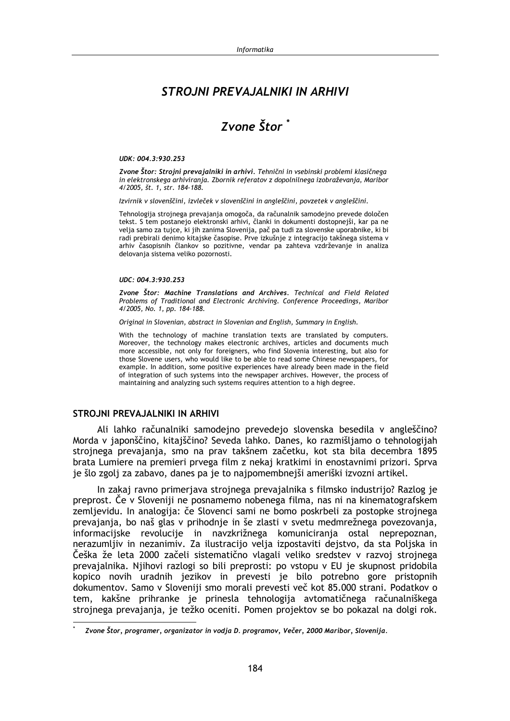## STRO INI PREVA JAI NIKI IN ARHIVI

# Zvone Štor<sup>\*</sup>

#### UDK: 004.3:930.253

Zvone Štor: Strojni prevajalniki in arhivi. Tehnični in vsebinski problemi klasičnega in elektronskega arhiviranja. Zbornik referatov z dopolnilnega izobraževanja, Maribor 4/2005, št. 1, str. 184-188.

Izvirnik v slovenščini, izvleček v slovenščini in angleščini, povzetek v angleščini.

Tehnologija strojnega prevajanja omogoča, da računalnik samodejno prevede določen tekst. S tem postanejo elektronski arhivi, članki in dokumenti dostopnejši, kar pa ne velja samo za tujce, ki jih zanima Slovenija, pač pa tudi za slovenske uporabnike, ki bi radi prebirali denimo kitajske časopise. Prve izkušnje z integracijo takšnega sistema v arhiv časopisnih člankov so pozitivne, vendar pa zahteva vzdrževanje in analiza delovanja sistema veliko pozornosti.

#### UDC: 004.3:930.253

Zvone Štor: Machine Translations and Archives. Technical and Field Related Problems of Traditional and Electronic Archiving. Conference Proceedings, Maribor 4/2005, No. 1, pp. 184-188.

Original in Slovenian, abstract in Slovenian and English, Summary in English.

With the technology of machine translation texts are translated by computers. Moreover, the technology makes electronic archives, articles and documents much more accessible, not only for foreigners, who find Slovenia interesting, but also for those Slovene users, who would like to be able to read some Chinese newspapers, for example. In addition, some positive experiences have already been made in the field of integration of such systems into the newspaper archives. However, the process of maintaining and analyzing such systems requires attention to a high degree.

#### STROJNI PREVAJALNIKI IN ARHIVI

Ali lahko računalniki samodejno prevedejo slovenska besedila v angleščino? Morda v japonščino, kitajščino? Seveda lahko. Danes, ko razmišljamo o tehnologijah strojnega prevajanja, smo na prav takšnem začetku, kot sta bila decembra 1895 brata Lumiere na premieri prvega film z nekaj kratkimi in enostavnimi prizori. Sprva je šlo zgolj za zabavo, danes pa je to najpomembnejši ameriški izvozni artikel.

In zakaj ravno primerjava strojnega prevajalnika s filmsko industrijo? Razlog je preprost. Če v Sloveniji ne posnamemo nobenega filma, nas ni na kinematografskem zemlievidu. In analogija: če Slovenci sami ne bomo poskrbeli za postopke strojnega prevajanja, bo naš glas v prihodnje in še zlasti v svetu medmrežnega povezovanja, informacijske revolucije in navzkrižnega komuniciranja ostal neprepoznan, nerazumljiv in nezanimiv. Za ilustracijo velja izpostaviti dejstvo, da sta Poljska in Češka že leta 2000 začeli sistematično vlagali veliko sredstev v razvoj strojnega prevajalnika. Njihovi razlogi so bili preprosti: po vstopu v EU je skupnost pridobila kopico novih uradnih jezikov in prevesti je bilo potrebno gore pristopnih dokumentov. Samo v Sloveniji smo morali prevesti več kot 85.000 strani. Podatkov o tem, kakšne prihranke je prinesla tehnologija avtomatičnega računalniškega strojnega prevajanja, je težko oceniti. Pomen projektov se bo pokazal na dolgi rok.

Zvone Štor, programer, organizator in vodja D. programov, Večer, 2000 Maribor, Slovenija.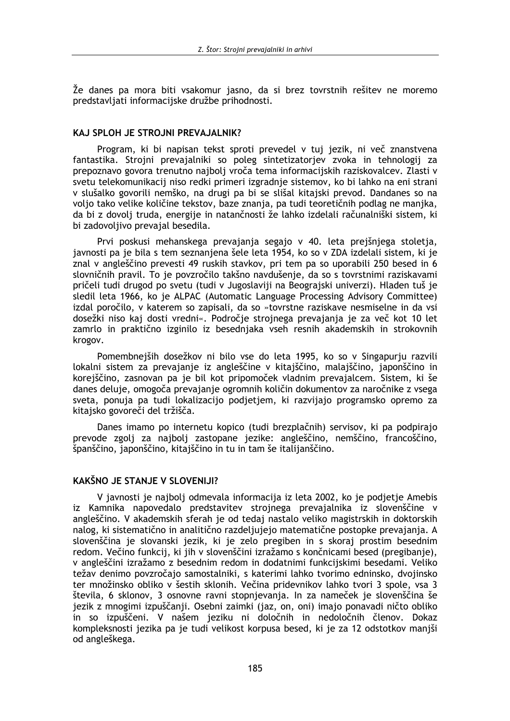Že danes pa mora biti vsakomur jasno, da si brez tovrstnih rešitev ne moremo predstavliati informaciiske družbe prihodnosti.

## KAJ SPLOH JE STROJNI PREVAJALNIK?

Program, ki bi napisan tekst sproti prevedel v tuj jezik, ni več znanstvena fantastika. Strojni prevajalniki so poleg sintetizatorjev zvoka in tehnologij za prepoznavo govora trenutno najbolj vroča tema informacijskih raziskovalcev. Zlasti v svetu telekomunikacij niso redki primeri izgradnje sistemov, ko bi lahko na eni strani v slušalko govorili nemško, na drugi pa bi se slišal kitajski prevod. Dandanes so na voljo tako velike količine tekstov, baze znanja, pa tudi teoretičnih podlag ne manjka, da bi z dovolj truda, energije in natančnosti že lahko izdelali računalniški sistem, ki bi zadovoljivo prevajal besedila.

Prvi poskusi mehanskega prevajanja segajo v 40. leta prejšnjega stoletja, javnosti pa je bila s tem seznanjena šele leta 1954, ko so v ZDA izdelali sistem, ki je znal v angleščino prevesti 49 ruskih stavkov, pri tem pa so uporabili 250 besed in 6 slovničnih pravil. To je povzročilo takšno navdušenje, da so s tovrstnimi raziskavami pričeli tudi drugod po svetu (tudi v Jugoslaviji na Beograjski univerzi). Hladen tuš je sledil leta 1966, ko je ALPAC (Automatic Language Processing Advisory Committee) izdal poročilo, v katerem so zapisali, da so »tovrstne raziskave nesmiselne in da vsi dosežki niso kaj dosti vredni«. Področje strojnega prevajanja je za več kot 10 let zamrlo in praktično izginilo iz besednjaka vseh resnih akademskih in strokovnih krogov.

Pomembnejših dosežkov ni bilo vse do leta 1995, ko so v Singapurju razvili lokalni sistem za prevajanje iz angleščine v kitajščino, malajščino, japonščino in korejščino, zasnovan pa je bil kot pripomoček vladnim prevajalcem. Sistem, ki še danes deluje, omogoča prevajanje ogromnih količin dokumentov za naročnike z vsega sveta, ponuja pa tudi lokalizacijo podjetjem, ki razvijajo programsko opremo za kitajsko govoreči del tržišča.

Danes imamo po internetu kopico (tudi brezplačnih) servisov, ki pa podpirajo prevode zgolj za najbolj zastopane jezike: angleščino, nemščino, francoščino, španščino, japonščino, kitajščino in tu in tam še italijanščino.

## KAKŠNO JE STANJE V SLOVENIJI?

V javnosti je najbolj odmevala informacija iz leta 2002, ko je podjetje Amebis iz Kamnika napovedalo predstavitev strojnega prevajalnika iz slovenščine v angleščino. V akademskih sferah je od tedaj nastalo veliko magistrskih in doktorskih nalog, ki sistematično in analitično razdeljujejo matematične postopke prevajanja. A slovenščina je slovanski jezik, ki je zelo pregiben in s skoraj prostim besednim redom. Večino funkcij, ki jih v slovenščini izražamo s končnicami besed (pregibanje), v angleščini izražamo z besednim redom in dodatnimi funkcijskimi besedami. Veliko težav denimo povzročajo samostalniki, s katerimi lahko tvorimo edninsko, dvojinsko ter množinsko obliko v šestih sklonih. Večina pridevnikov lahko tvori 3 spole, vsa 3 števila, 6 sklonov, 3 osnovne ravni stopnjevanja. In za nameček je slovenščina še jezik z mnogimi izpuščanji. Osebni zaimki (jaz, on, oni) imajo ponavadi ničto obliko in so izpuščeni. V našem jeziku ni določnih in nedoločnih členov. Dokaz kompleksnosti jezika pa je tudi velikost korpusa besed, ki je za 12 odstotkov manjši od angleškega.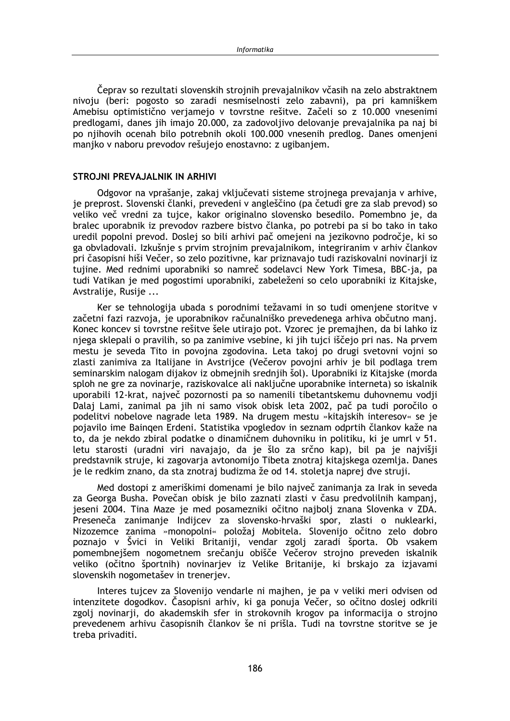Čeprav so rezultati slovenskih stroinih prevajalnikov včasih na zelo abstraktnem nivoju (beri: pogosto so zaradi nesmiselnosti zelo zabavni), pa pri kamniškem Amebisu optimistično veriamejo v tovrstne rešitve. Začeli so z 10.000 vnesenimi predlogami, danes jih imajo 20.000, za zadovoljivo delovanje prevajalnika pa naj bi po njihovih ocenah bilo potrebnih okoli 100.000 vnesenih predlog. Danes omenjeni manjko v naboru prevodov rešujejo enostavno: z ugibanjem.

#### STROJNI PREVAJALNIK IN ARHIVI

Odgovor na vprašanje, zakaj vključevati sisteme strojnega prevajanja v arhive, je preprost. Slovenski članki, prevedeni v angleščino (pa četudi gre za slab prevod) so veliko več vredni za tujce, kakor originalno slovensko besedilo. Pomembno je, da bralec uporabnik iz prevodov razbere bistvo članka, po potrebi pa si bo tako in tako uredil popolni prevod. Doslej so bili arhivi pač omejeni na jezikovno področje, ki so ga obvladovali. Izkušnje s prvim strojnim prevajalnikom, integriranim v arhiv člankov pri časopisni hiši Večer, so zelo pozitivne, kar priznavajo tudi raziskovalni novinarji iz tujine. Med rednimi uporabniki so namreč sodelavci New York Timesa, BBC-ja, pa tudi Vatikan je med pogostimi uporabniki, zabeleženi so celo uporabniki iz Kitajske, Avstralije, Rusije ...

Ker se tehnologija ubada s porodnimi težavami in so tudi omenjene storitve v začetni fazi razvoja, je uporabnikov računalniško prevedenega arhiva občutno manj. Konec koncev si tovrstne rešitve šele utirajo pot. Vzorec je premajhen, da bi lahko iz njega sklepali o pravilih, so pa zanimive vsebine, ki jih tujci iščejo pri nas. Na prvem mestu je seveda Tito in povojna zgodovina. Leta takoj po drugi svetovni vojni so zlasti zanimiva za Italijane in Avstrijce (Večerov povojni arhiv je bil podlaga trem seminarskim nalogam dijakov iz obmejnih srednijh šol). Uporabniki iz Kitajske (morda sploh ne gre za novinarje, raziskovalce ali naključne uporabnike interneta) so iskalnik uporabili 12-krat, največ pozornosti pa so namenili tibetantskemu duhovnemu vodji Dalaj Lami, zanimal pa jih ni samo visok obisk leta 2002, pač pa tudi poročilo o podelitvi nobelove nagrade leta 1989. Na drugem mestu »kitajskih interesov« se je pojavilo ime Bajngen Erdeni. Statistika vpogledov in seznam odprtih člankov kaže na to, da je nekdo zbiral podatke o dinamičnem duhovniku in politiku, ki je umrl v 51. letu starosti (uradni viri navajajo, da je šlo za srčno kap), bil pa je najvišji predstavnik struje, ki zagovarja avtonomijo Tibeta znotraj kitajskega ozemlja. Danes je le redkim znano, da sta znotraj budizma že od 14. stoletja naprej dve struji.

Med dostopi z ameriškimi domenami je bilo največ zanimanja za Irak in seveda za Georga Busha. Povečan obisk je bilo zaznati zlasti v času predvolilnih kampanj, jeseni 2004. Tina Maze je med posamezniki očitno najbolj znana Slovenka v ZDA. Preseneča zanimanje Indijcev za slovensko-hrvaški spor, zlasti o nuklearki, Nizozemce zanima »monopolni« položaj Mobitela. Slovenijo očitno zelo dobro poznajo v Švici in Veliki Britaniji, vendar zgolj zaradi športa. Ob vsakem pomembnejšem nogometnem srečanju obišče Večerov strojno preveden iskalnik veliko (očitno športnih) novinarjev iz Velike Britanije, ki brskajo za izjavami slovenskih nogometašev in trenerjev.

Interes tujcev za Slovenijo vendarle ni majhen, je pa v veliki meri odvisen od intenzitete dogodkov. Časopisni arhiv, ki ga ponuja Večer, so očitno doslej odkrili zgolj novinarji, do akademskih sfer in strokovnih krogov pa informacija o strojno prevedenem arhivu časopisnih člankov še ni prišla. Tudi na tovrstne storitve se je treba privaditi.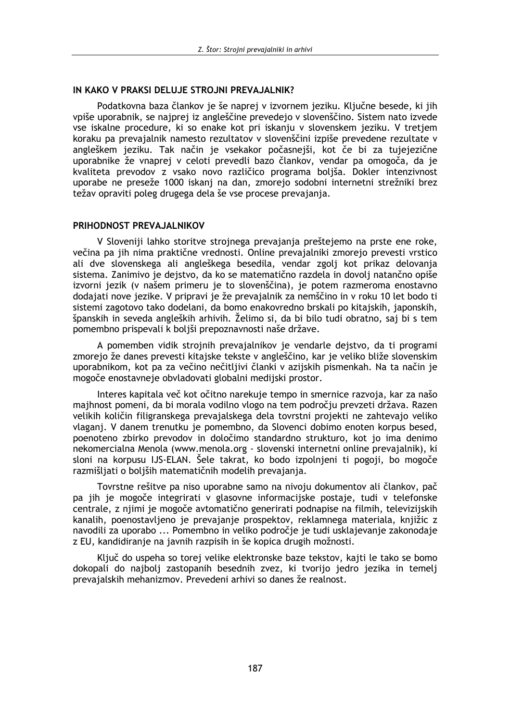## IN KAKO V PRAKSI DELUJE STROJNI PREVAJALNIK?

Podatkovna baza člankov je še naprej v izvornem jeziku. Ključne besede, ki jih vpiše uporabnik, se najprej iz angleščine prevedejo v slovenščino. Sistem nato izvede yse iskalne procedure, ki so enake kot pri iskanju v slovenskem jeziku. V tretjem koraku pa prevajalnik namesto rezultatov v slovenščini izpiše prevedene rezultate v angleškem jeziku. Tak način je vsekakor počasnejši, kot če bi za tujejezične uporabnike že vnaprej v celoti prevedli bazo člankov, vendar pa omogoča, da je kvaliteta prevodov z vsako novo različico programa boljša. Dokler intenzivnost uporabe ne preseže 1000 iskanj na dan, zmorejo sodobni internetni strežniki brez težav opraviti poleg drugega dela še vse procese prevajanja.

## PRIHODNOST PREVAJALNIKOV

V Sloveniji lahko storitve strojnega prevajanja preštejemo na prste ene roke, večina pa jih nima praktične vrednosti. Online prevajalniki zmorejo prevesti vrstico ali dve slovenskega ali angleškega besedila, vendar zgolj kot prikaz delovanja sistema. Zanimivo je dejstvo, da ko se matematično razdela in dovolj natančno opiše izvorni jezik (v našem primeru je to slovenščina), je potem razmeroma enostavno dodajati nove jezike. V pripravi je že prevajalnik za nemščino in v roku 10 let bodo ti sistemi zagotovo tako dodelani, da bomo enakovredno brskali po kitaiskih, japonskih, španskih in seveda angleških arhivih. Želimo si, da bi bilo tudi obratno, saj bi s tem pomembno prispevali k boljši prepoznavnosti naše države.

A pomemben vidik strojnih prevajalnikov je vendarle dejstvo, da ti programi zmorejo že danes prevesti kitajske tekste v angleščino, kar je veliko bliže slovenskim uporabnikom, kot pa za večino nečitljivi članki v azijskih pismenkah. Na ta način je mogoče enostavneje obvladovati globalni medijski prostor.

Interes kapitala več kot očitno narekuje tempo in smernice razvoja, kar za našo majhnost pomeni, da bi morala vodilno vlogo na tem področju prevzeti država. Razen velikih količin filigranskega prevajalskega dela tovrstni projekti ne zahtevajo veliko vlagani. V danem trenutku je pomembno, da Slovenci dobimo enoten korpus besed, poenoteno zbirko prevodov in določimo standardno strukturo, kot jo ima denimo nekomercialna Menola (www.menola.org - slovenski internetni online prevajalnik), ki sloni na korpusu IJS-ELAN. Šele takrat, ko bodo izpolnjeni ti pogoji, bo mogoče razmišliati o boliših matematičnih modelih prevajania.

Tovrstne rešitve pa niso uporabne samo na nivoju dokumentov ali člankov, pač pa jih je mogoče integrirati v glasovne informacijske postaje, tudi v telefonske centrale, z njimi je mogoče avtomatično generirati podnapise na filmih, televizijskih kanalih, poenostavljeno je prevajanje prospektov, reklamnega materiala, knjižic z navodili za uporabo ... Pomembno in veliko področie je tudi usklajevanje zakonodaje z EU, kandidiranje na javnih razpisih in še kopica drugih možnosti.

Ključ do uspeha so torej velike elektronske baze tekstov, kajti le tako se bomo dokopali do najbolj zastopanih besednih zvez, ki tvorijo jedro jezika in temelj prevajalskih mehanizmov. Prevedeni arhivi so danes že realnost.